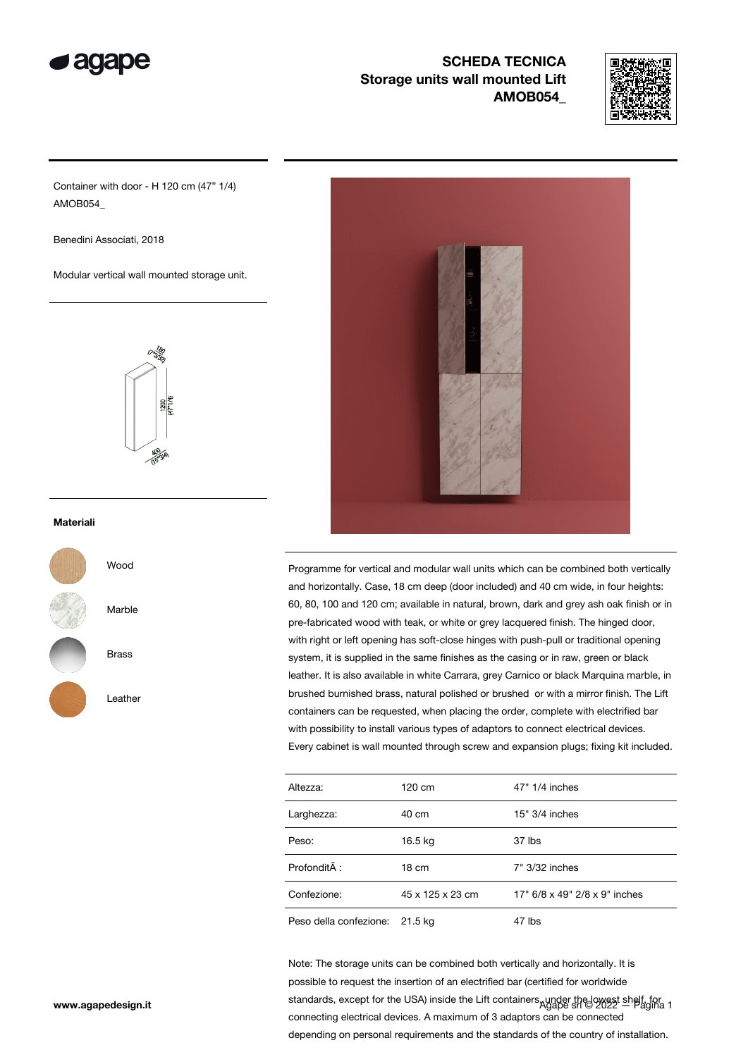

## **SCHEDA TECNICA** Storage units wall mounted Lift AMOB054\_



Container with door - H 120 cm (47" 1/4) AMOB054\_

Benedini Associati, 2018

Modular vertical wall mounted storage unit.



## Materiali





Marble

Brass

Leather



Programme for vertical and modular wall units which can be combined both vertically and horizontally. Case, 18 cm deep (door included) and 40 cm wide, in four heights: 60, 80, 100 and 120 cm; available in natural, brown, dark and grey ash oak finish or in pre-fabricated wood with teak, or white or grey lacquered finish. The hinged door, with right or left opening has soft-close hinges with push-pull or traditional opening system, it is supplied in the same finishes as the casing or in raw, green or black leather. It is also available in white Carrara, grey Carnico or black Marquina marble, in brushed burnished brass, natural polished or brushed or with a mirror finish. The Lift containers can be requested, when placing the order, complete with electrified bar with possibility to install various types of adaptors to connect electrical devices. Every cabinet is wall mounted through screw and expansion plugs; fixing kit included.

| Altezza:                       | 120 cm           | 47" 1/4 inches                |
|--------------------------------|------------------|-------------------------------|
| Larghezza:                     | 40 cm            | $15" 3/4$ inches              |
| Peso:                          | 16.5 kg          | 37 lbs                        |
| Profondità :                   | 18 cm            | 7" 3/32 inches                |
| Confezione:                    | 45 x 125 x 23 cm | 17" 6/8 x 49" 2/8 x 9" inches |
| Peso della confezione: 21.5 kg |                  | 47 lbs                        |

www.agapedesign.it standards, except for the USA) inside the Lift containers, under the lowest shelf, for the W<br>Agape srl © 2022 – Pagina 1 Note: The storage units can be combined both vertically and horizontally. It is possible to request the insertion of an electrified bar (certified for worldwide connecting electrical devices. A maximum of 3 adaptors can be connected depending on personal requirements and the standards of the country of installation.